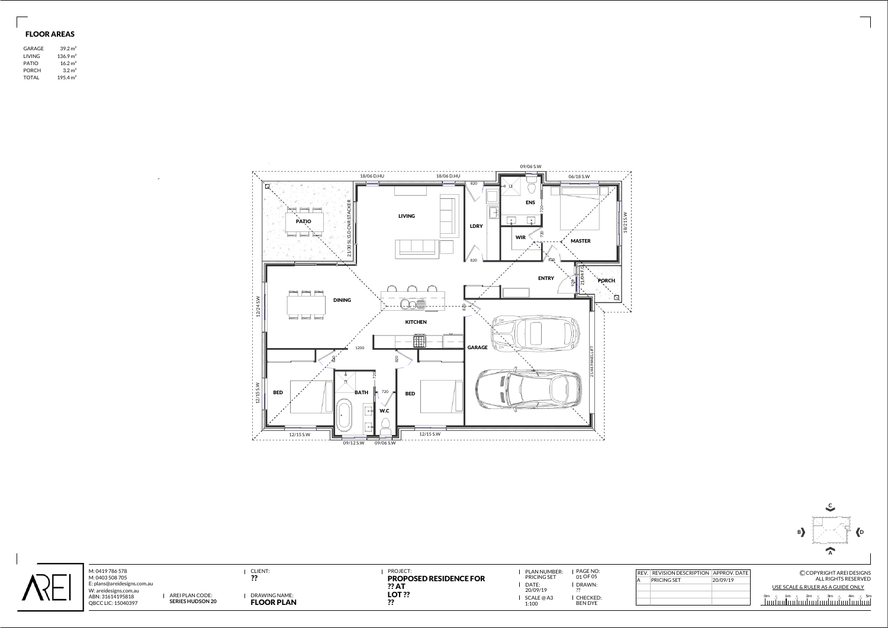| ` 儿 | M: 0419 786 578<br>M: 0403 508 705<br>E: plans@areidesigns.com.au<br>W: areidesigns.com.au<br>AREI PLAN CODE:<br>ABN: 31614195818<br><b>SERIES HUDSON 20</b><br>QBCC LIC: 15040397 | <b>CLIENT:</b><br>DRAWING NAME:<br><b>FLOOR PLAN</b> | <b>PROJECT:</b><br><b>PROPOSED RESIDENCE FOR</b><br>?? AT<br><b>LOT ??</b> | PLAN NUMBER:<br>PRICING SET<br>DATE:<br>20/09/19<br>SCALE @ A3<br>1:100 | PAGE NO:<br>01 OF 05<br>DRAWN:<br>I CHECKED:<br><b>BEN DYE</b> | REV.   REVISION DESCRIPTION   APPROV. DATE  <br><b>PRICING SET</b> | 20/09/19 | CCOPYRIGHT AREI DESIGNS<br>ALL RIGHTS RESERVED<br>USE SCALE & RULER AS A GUIDE ONLY |
|-----|------------------------------------------------------------------------------------------------------------------------------------------------------------------------------------|------------------------------------------------------|----------------------------------------------------------------------------|-------------------------------------------------------------------------|----------------------------------------------------------------|--------------------------------------------------------------------|----------|-------------------------------------------------------------------------------------|





## FLOOR AREAS

| GARAGE       | 39.2 m <sup>2</sup>  |  |
|--------------|----------------------|--|
| LIVING       | 136.9 m <sup>2</sup> |  |
| <b>PATIO</b> | 16.2 m <sup>2</sup>  |  |
| <b>PORCH</b> | 3.2 m <sup>2</sup>   |  |
| <b>TOTAL</b> | 195.4 m <sup>2</sup> |  |

|   | REV. REVISION DESCRIPTION APPROV. DATE |          |
|---|----------------------------------------|----------|
| А | PRICING SET                            | 20/09/19 |
|   |                                        |          |
|   |                                        |          |
|   |                                        |          |
|   |                                        |          |

 $\ddot{\phantom{a}}$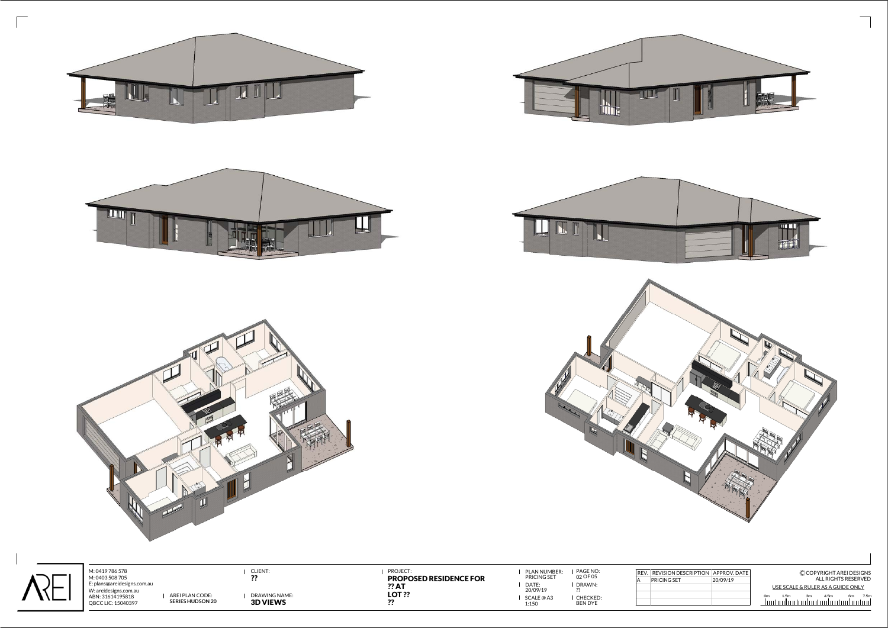











 $\overline{\Gamma}$ 

M: 0419 786 578 M: 0403 508 705 W: areidesigns.com.au ABN: 31614195818 QBCC LIC: 15040397 AREI PLAN CODE:<br>**SERIES HUDSON 20** 

**LLIIN** 

PLAN NUMBER: | PAGE NO:<br>PRICING SET 02 OF 05 DATE: 1:150

DRAWN: ??CHECKED: BEN DYE

CLIENT: PROJECT: PROPOSED RESIDENCE FOR E: plans@areidesigns.com.au USE SCALE & RULER AS A GUIDE ONLY?? AT USE SCALE & RULER AS A GUIDE ONLY C COPYRIGHT AREI DESIGNS ALL RIGHTS RESERVED 1.5m 3m 4.5m 6m 7.5m REV. REVISION DESCRIPTION APPROV. DATE PRICING SET 20/09/19

SCALE @ A3  $\begin{array}{ccc} \textbf{1} & \textbf{20/09/19} \\ \textbf{20/09/19} & \textbf{22/09/19} \end{array}$  ?? 0m

Щ

 $\downarrow\,\downarrow\,\downarrow$ 

DRAWING NAME:?? 3D VIEWS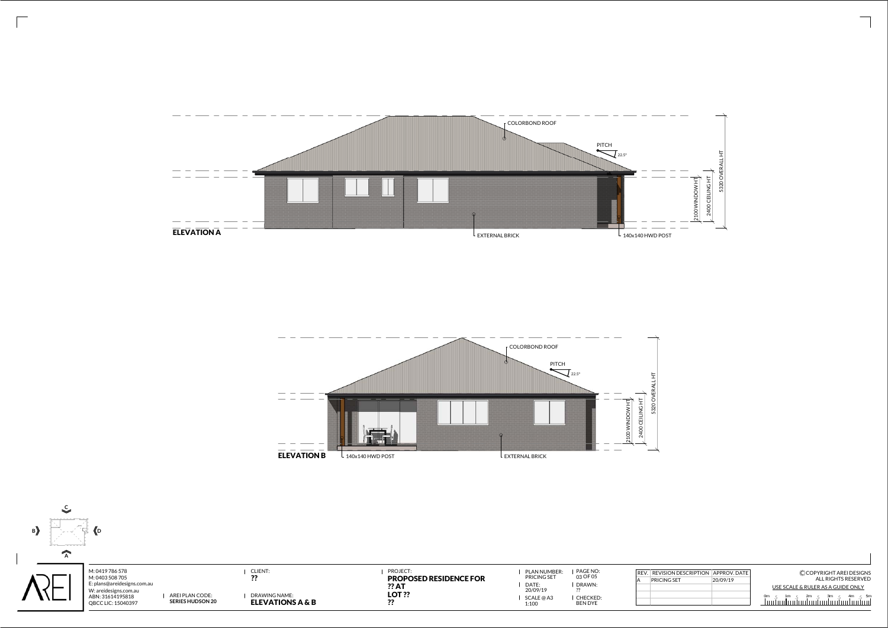



|      | N DESCRIPTION APPROV. DATE | CCOPYRIGHT AREI DESIGNS           |
|------|----------------------------|-----------------------------------|
| SF T | 20/09/19                   | ALL RIGHTS RESERVED               |
|      |                            | USE SCALE & RULER AS A GUIDE ONLY |
|      |                            |                                   |
|      |                            |                                   |



 $\sqrt{2}$